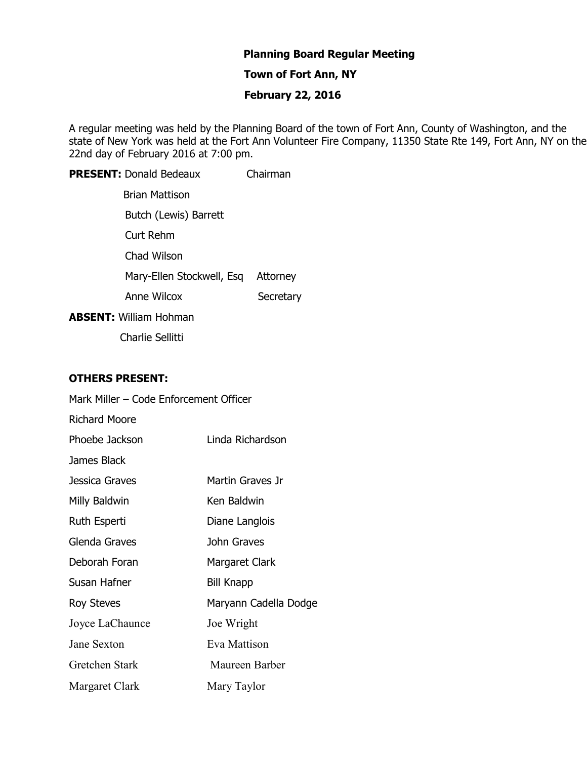# **Planning Board Regular Meeting**

## **Town of Fort Ann, NY**

## **February 22, 2016**

A regular meeting was held by the Planning Board of the town of Fort Ann, County of Washington, and the state of New York was held at the Fort Ann Volunteer Fire Company, 11350 State Rte 149, Fort Ann, NY on the 22nd day of February 2016 at 7:00 pm.

**PRESENT:** Donald Bedeaux Chairman Brian Mattison Butch (Lewis) Barrett Curt Rehm Chad Wilson Mary-Ellen Stockwell, Esq Attorney Anne Wilcox Secretary **ABSENT:** William Hohman

Charlie Sellitti

#### **OTHERS PRESENT:**

| Mark Miller - Code Enforcement Officer |                       |
|----------------------------------------|-----------------------|
| <b>Richard Moore</b>                   |                       |
| Phoebe Jackson                         | Linda Richardson      |
| James Black                            |                       |
| Jessica Graves                         | Martin Graves Jr      |
| Milly Baldwin                          | Ken Baldwin           |
| Ruth Esperti                           | Diane Langlois        |
| Glenda Graves                          | John Graves           |
| Deborah Foran                          | Margaret Clark        |
| Susan Hafner                           | <b>Bill Knapp</b>     |
| Roy Steves                             | Maryann Cadella Dodge |
| Joyce LaChaunce                        | Joe Wright            |
| Jane Sexton                            | Eva Mattison          |
| Gretchen Stark                         | Maureen Barber        |
| Margaret Clark                         | Mary Taylor           |